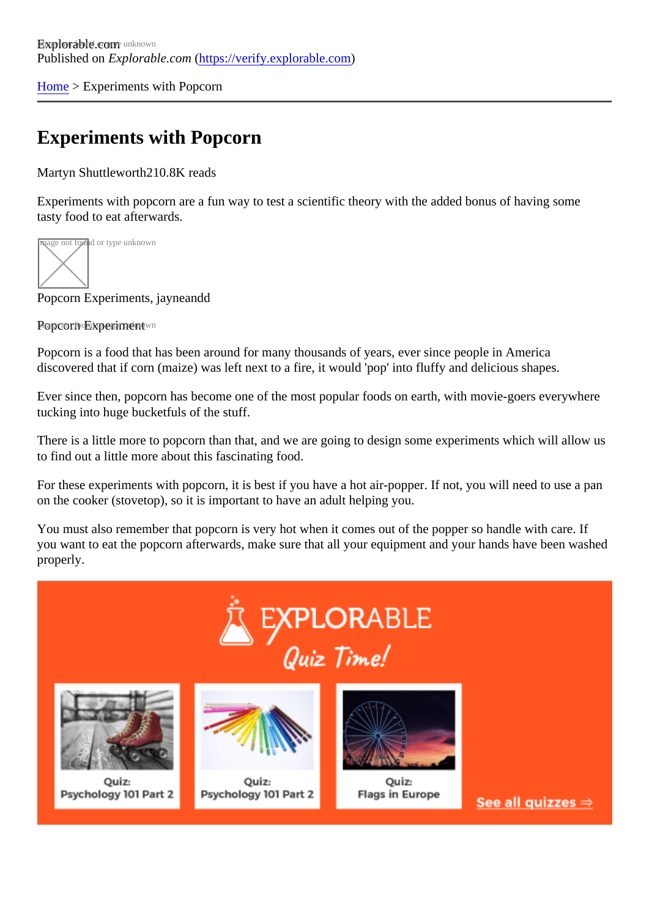[Home](https://verify.explorable.com/) > Experiments with Popcorn

# Experiments with Popcorn

Martyn Shuttlewort<sup>h</sup>210.8K reads

Experiments with popcorn are a fun way to test a scientific theory with the added bonus of having some tasty food to eat afterwards.

**nage not fou**nd or type unknown

Popcorn Experiments, jayneandd

Propcorn Experiment wn

Popcorn is a food that has been around for many thousands of years, ever since people in America discovered that if corn (maize) was left next to a fire, it would 'pop' into fluffy and delicious shapes.

Ever since then, popcorn has become one of the most popular foods on earth, with movie-goers everywhere tucking into huge bucketfuls of the stuff.

There is a little more to popcorn than that, and we are going to design some experiments which will allow us to find out a little more about this fascinating food.

For these experiments with popcorn, it is best if you have a hot air-popper. If not, you will need to use a pa on the cooker (stovetop), so it is important to have an adult helping you.

You must also remember that popcorn is very hot when it comes out of the popper so handle with care. If you want to eat the popcorn afterwards, make sure that all your equipment and your hands have been was properly.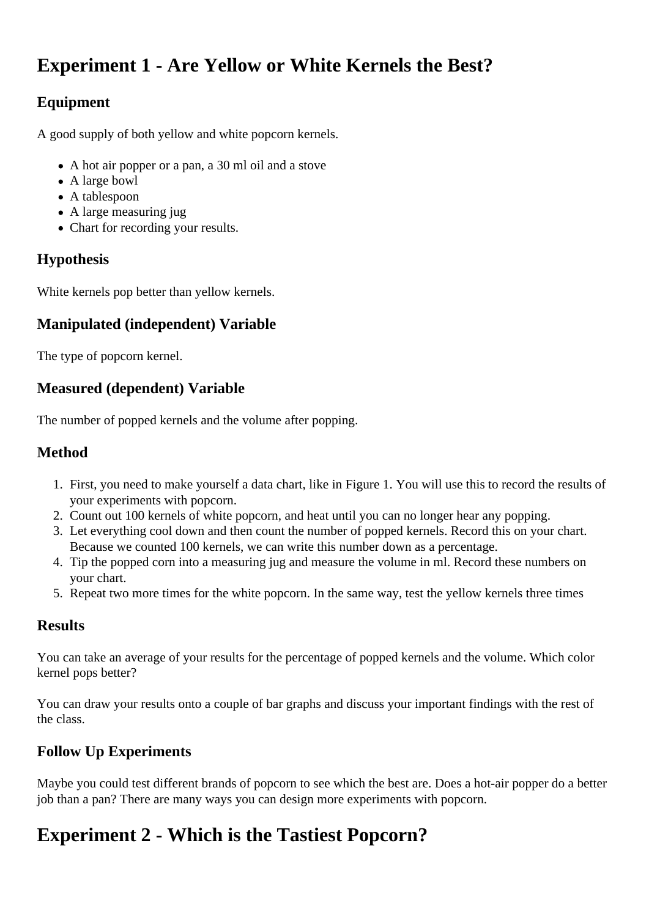## **Experiment 1 - Are Yellow or White Kernels the Best?**

## **Equipment**

A good supply of both yellow and white popcorn kernels.

- A hot air popper or a pan, a 30 ml oil and a stove
- A large bowl
- A tablespoon
- A large measuring jug
- Chart for recording your results.

#### **Hypothesis**

White kernels pop better than yellow kernels.

#### **Manipulated (independent) Variable**

The type of popcorn kernel.

#### **Measured (dependent) Variable**

The number of popped kernels and the volume after popping.

#### **Method**

- 1. First, you need to make yourself a data chart, like in Figure 1. You will use this to record the results of your experiments with popcorn.
- 2. Count out 100 kernels of white popcorn, and heat until you can no longer hear any popping.
- 3. Let everything cool down and then count the number of popped kernels. Record this on your chart. Because we counted 100 kernels, we can write this number down as a percentage.
- 4. Tip the popped corn into a measuring jug and measure the volume in ml. Record these numbers on your chart.
- 5. Repeat two more times for the white popcorn. In the same way, test the yellow kernels three times

#### **Results**

You can take an average of your results for the percentage of popped kernels and the volume. Which color kernel pops better?

You can draw your results onto a couple of bar graphs and discuss your important findings with the rest of the class.

## **Follow Up Experiments**

Maybe you could test different brands of popcorn to see which the best are. Does a hot-air popper do a better job than a pan? There are many ways you can design more experiments with popcorn.

## **Experiment 2 - Which is the Tastiest Popcorn?**